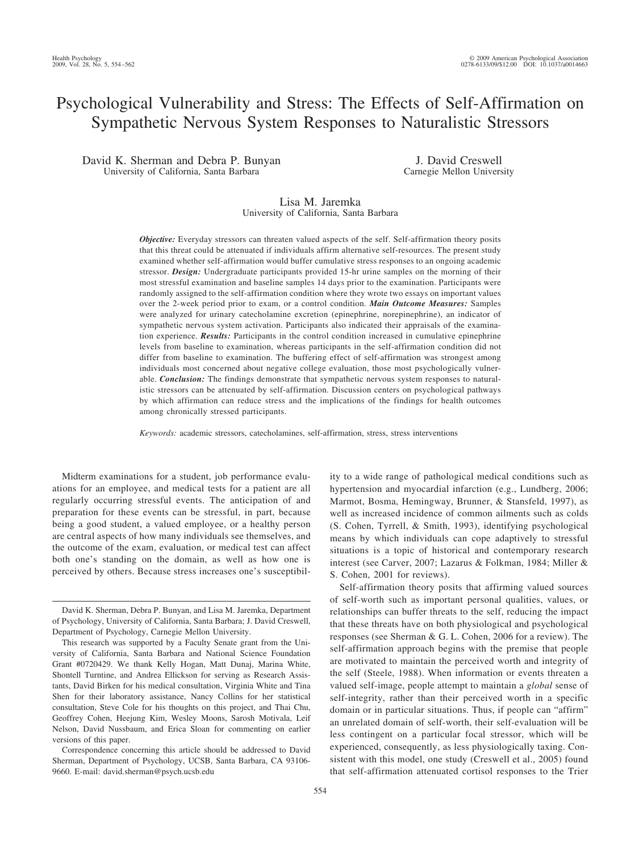# Psychological Vulnerability and Stress: The Effects of Self-Affirmation on Sympathetic Nervous System Responses to Naturalistic Stressors

David K. Sherman and Debra P. Bunyan University of California, Santa Barbara

J. David Creswell Carnegie Mellon University

## Lisa M. Jaremka University of California, Santa Barbara

*Objective:* Everyday stressors can threaten valued aspects of the self. Self-affirmation theory posits that this threat could be attenuated if individuals affirm alternative self-resources. The present study examined whether self-affirmation would buffer cumulative stress responses to an ongoing academic stressor. *Design:* Undergraduate participants provided 15-hr urine samples on the morning of their most stressful examination and baseline samples 14 days prior to the examination. Participants were randomly assigned to the self-affirmation condition where they wrote two essays on important values over the 2-week period prior to exam, or a control condition. *Main Outcome Measures:* Samples were analyzed for urinary catecholamine excretion (epinephrine, norepinephrine), an indicator of sympathetic nervous system activation. Participants also indicated their appraisals of the examination experience. *Results:* Participants in the control condition increased in cumulative epinephrine levels from baseline to examination, whereas participants in the self-affirmation condition did not differ from baseline to examination. The buffering effect of self-affirmation was strongest among individuals most concerned about negative college evaluation, those most psychologically vulnerable. *Conclusion:* The findings demonstrate that sympathetic nervous system responses to naturalistic stressors can be attenuated by self-affirmation. Discussion centers on psychological pathways by which affirmation can reduce stress and the implications of the findings for health outcomes among chronically stressed participants.

*Keywords:* academic stressors, catecholamines, self-affirmation, stress, stress interventions

Midterm examinations for a student, job performance evaluations for an employee, and medical tests for a patient are all regularly occurring stressful events. The anticipation of and preparation for these events can be stressful, in part, because being a good student, a valued employee, or a healthy person are central aspects of how many individuals see themselves, and the outcome of the exam, evaluation, or medical test can affect both one's standing on the domain, as well as how one is perceived by others. Because stress increases one's susceptibil-

David K. Sherman, Debra P. Bunyan, and Lisa M. Jaremka, Department of Psychology, University of California, Santa Barbara; J. David Creswell, Department of Psychology, Carnegie Mellon University.

ity to a wide range of pathological medical conditions such as hypertension and myocardial infarction (e.g., Lundberg, 2006; Marmot, Bosma, Hemingway, Brunner, & Stansfeld, 1997), as well as increased incidence of common ailments such as colds (S. Cohen, Tyrrell, & Smith, 1993), identifying psychological means by which individuals can cope adaptively to stressful situations is a topic of historical and contemporary research interest (see Carver, 2007; Lazarus & Folkman, 1984; Miller & S. Cohen, 2001 for reviews).

Self-affirmation theory posits that affirming valued sources of self-worth such as important personal qualities, values, or relationships can buffer threats to the self, reducing the impact that these threats have on both physiological and psychological responses (see Sherman & G. L. Cohen, 2006 for a review). The self-affirmation approach begins with the premise that people are motivated to maintain the perceived worth and integrity of the self (Steele, 1988). When information or events threaten a valued self-image, people attempt to maintain a *global* sense of self-integrity, rather than their perceived worth in a specific domain or in particular situations. Thus, if people can "affirm" an unrelated domain of self-worth, their self-evaluation will be less contingent on a particular focal stressor, which will be experienced, consequently, as less physiologically taxing. Consistent with this model, one study (Creswell et al., 2005) found that self-affirmation attenuated cortisol responses to the Trier

This research was supported by a Faculty Senate grant from the University of California, Santa Barbara and National Science Foundation Grant #0720429. We thank Kelly Hogan, Matt Dunaj, Marina White, Shontell Turntine, and Andrea Ellickson for serving as Research Assistants, David Birken for his medical consultation, Virginia White and Tina Shen for their laboratory assistance, Nancy Collins for her statistical consultation, Steve Cole for his thoughts on this project, and Thai Chu, Geoffrey Cohen, Heejung Kim, Wesley Moons, Sarosh Motivala, Leif Nelson, David Nussbaum, and Erica Sloan for commenting on earlier versions of this paper.

Correspondence concerning this article should be addressed to David Sherman, Department of Psychology, UCSB, Santa Barbara, CA 93106- 9660. E-mail: david.sherman@psych.ucsb.edu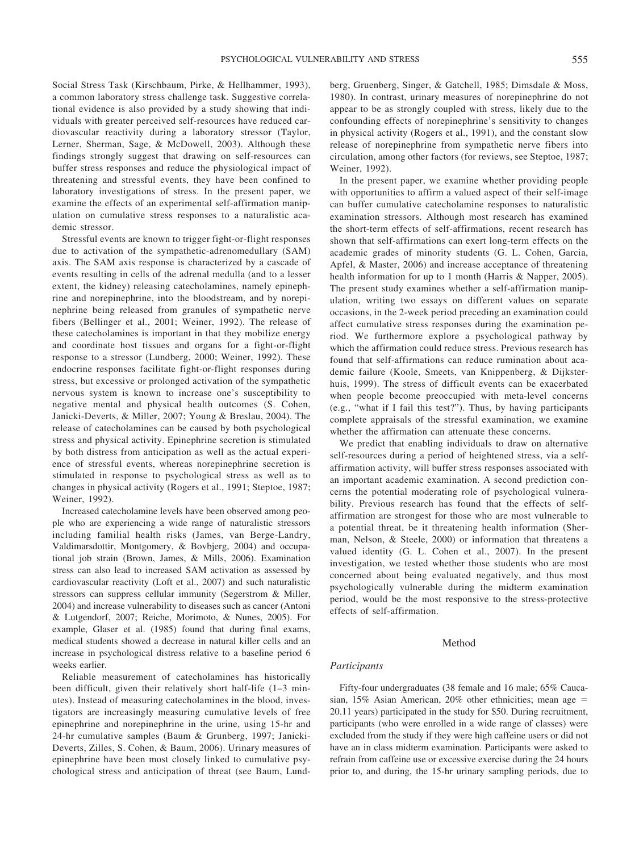Social Stress Task (Kirschbaum, Pirke, & Hellhammer, 1993), a common laboratory stress challenge task. Suggestive correlational evidence is also provided by a study showing that individuals with greater perceived self-resources have reduced cardiovascular reactivity during a laboratory stressor (Taylor, Lerner, Sherman, Sage, & McDowell, 2003). Although these findings strongly suggest that drawing on self-resources can buffer stress responses and reduce the physiological impact of threatening and stressful events, they have been confined to laboratory investigations of stress. In the present paper, we examine the effects of an experimental self-affirmation manipulation on cumulative stress responses to a naturalistic academic stressor.

Stressful events are known to trigger fight-or-flight responses due to activation of the sympathetic-adrenomedullary (SAM) axis. The SAM axis response is characterized by a cascade of events resulting in cells of the adrenal medulla (and to a lesser extent, the kidney) releasing catecholamines, namely epinephrine and norepinephrine, into the bloodstream, and by norepinephrine being released from granules of sympathetic nerve fibers (Bellinger et al., 2001; Weiner, 1992). The release of these catecholamines is important in that they mobilize energy and coordinate host tissues and organs for a fight-or-flight response to a stressor (Lundberg, 2000; Weiner, 1992). These endocrine responses facilitate fight-or-flight responses during stress, but excessive or prolonged activation of the sympathetic nervous system is known to increase one's susceptibility to negative mental and physical health outcomes (S. Cohen, Janicki-Deverts, & Miller, 2007; Young & Breslau, 2004). The release of catecholamines can be caused by both psychological stress and physical activity. Epinephrine secretion is stimulated by both distress from anticipation as well as the actual experience of stressful events, whereas norepinephrine secretion is stimulated in response to psychological stress as well as to changes in physical activity (Rogers et al., 1991; Steptoe, 1987; Weiner, 1992).

Increased catecholamine levels have been observed among people who are experiencing a wide range of naturalistic stressors including familial health risks (James, van Berge-Landry, Valdimarsdottir, Montgomery, & Bovbjerg, 2004) and occupational job strain (Brown, James, & Mills, 2006). Examination stress can also lead to increased SAM activation as assessed by cardiovascular reactivity (Loft et al., 2007) and such naturalistic stressors can suppress cellular immunity (Segerstrom & Miller, 2004) and increase vulnerability to diseases such as cancer (Antoni & Lutgendorf, 2007; Reiche, Morimoto, & Nunes, 2005). For example, Glaser et al. (1985) found that during final exams, medical students showed a decrease in natural killer cells and an increase in psychological distress relative to a baseline period 6 weeks earlier.

Reliable measurement of catecholamines has historically been difficult, given their relatively short half-life (1–3 minutes). Instead of measuring catecholamines in the blood, investigators are increasingly measuring cumulative levels of free epinephrine and norepinephrine in the urine, using 15-hr and 24-hr cumulative samples (Baum & Grunberg, 1997; Janicki-Deverts, Zilles, S. Cohen, & Baum, 2006). Urinary measures of epinephrine have been most closely linked to cumulative psychological stress and anticipation of threat (see Baum, Lundberg, Gruenberg, Singer, & Gatchell, 1985; Dimsdale & Moss, 1980). In contrast, urinary measures of norepinephrine do not appear to be as strongly coupled with stress, likely due to the confounding effects of norepinephrine's sensitivity to changes in physical activity (Rogers et al., 1991), and the constant slow release of norepinephrine from sympathetic nerve fibers into circulation, among other factors (for reviews, see Steptoe, 1987; Weiner, 1992).

In the present paper, we examine whether providing people with opportunities to affirm a valued aspect of their self-image can buffer cumulative catecholamine responses to naturalistic examination stressors. Although most research has examined the short-term effects of self-affirmations, recent research has shown that self-affirmations can exert long-term effects on the academic grades of minority students (G. L. Cohen, Garcia, Apfel, & Master, 2006) and increase acceptance of threatening health information for up to 1 month (Harris & Napper, 2005). The present study examines whether a self-affirmation manipulation, writing two essays on different values on separate occasions, in the 2-week period preceding an examination could affect cumulative stress responses during the examination period. We furthermore explore a psychological pathway by which the affirmation could reduce stress. Previous research has found that self-affirmations can reduce rumination about academic failure (Koole, Smeets, van Knippenberg, & Dijksterhuis, 1999). The stress of difficult events can be exacerbated when people become preoccupied with meta-level concerns (e.g., "what if I fail this test?"). Thus, by having participants complete appraisals of the stressful examination, we examine whether the affirmation can attenuate these concerns.

We predict that enabling individuals to draw on alternative self-resources during a period of heightened stress, via a selfaffirmation activity, will buffer stress responses associated with an important academic examination. A second prediction concerns the potential moderating role of psychological vulnerability. Previous research has found that the effects of selfaffirmation are strongest for those who are most vulnerable to a potential threat, be it threatening health information (Sherman, Nelson, & Steele, 2000) or information that threatens a valued identity (G. L. Cohen et al., 2007). In the present investigation, we tested whether those students who are most concerned about being evaluated negatively, and thus most psychologically vulnerable during the midterm examination period, would be the most responsive to the stress-protective effects of self-affirmation.

#### Method

## *Participants*

Fifty-four undergraduates (38 female and 16 male; 65% Caucasian, 15% Asian American, 20% other ethnicities; mean age  $=$ 20.11 years) participated in the study for \$50. During recruitment, participants (who were enrolled in a wide range of classes) were excluded from the study if they were high caffeine users or did not have an in class midterm examination. Participants were asked to refrain from caffeine use or excessive exercise during the 24 hours prior to, and during, the 15-hr urinary sampling periods, due to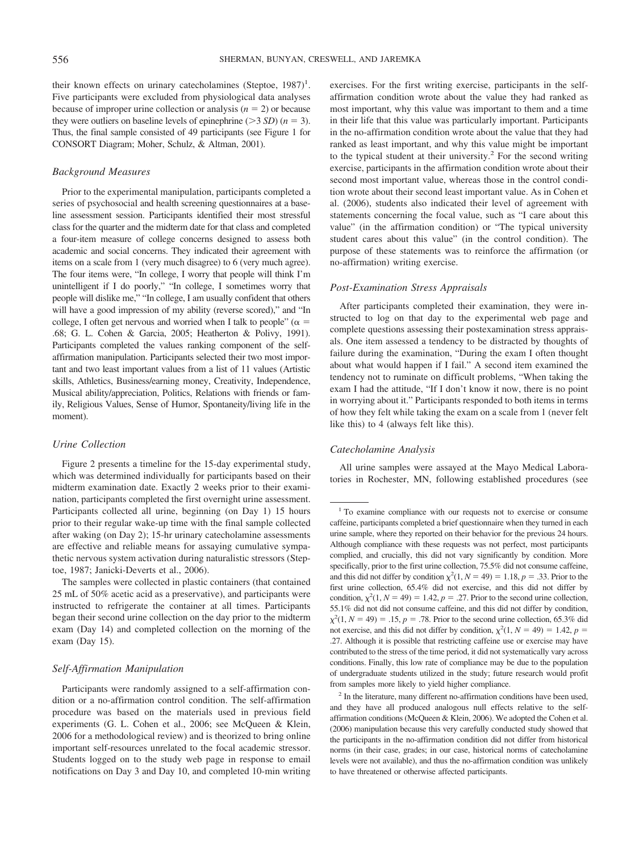their known effects on urinary catecholamines (Steptoe,  $1987$ )<sup>1</sup>. Five participants were excluded from physiological data analyses because of improper urine collection or analysis  $(n = 2)$  or because they were outliers on baseline levels of epinephrine  $(>=3 SD)$  ( $n = 3$ ). Thus, the final sample consisted of 49 participants (see Figure 1 for CONSORT Diagram; Moher, Schulz, & Altman, 2001).

## *Background Measures*

Prior to the experimental manipulation, participants completed a series of psychosocial and health screening questionnaires at a baseline assessment session. Participants identified their most stressful class for the quarter and the midterm date for that class and completed a four-item measure of college concerns designed to assess both academic and social concerns. They indicated their agreement with items on a scale from 1 (very much disagree) to 6 (very much agree). The four items were, "In college, I worry that people will think I'm unintelligent if I do poorly," "In college, I sometimes worry that people will dislike me," "In college, I am usually confident that others will have a good impression of my ability (reverse scored)," and "In college, I often get nervous and worried when I talk to people" ( $\alpha$  = .68; G. L. Cohen & Garcia, 2005; Heatherton & Polivy, 1991). Participants completed the values ranking component of the selfaffirmation manipulation. Participants selected their two most important and two least important values from a list of 11 values (Artistic skills, Athletics, Business/earning money, Creativity, Independence, Musical ability/appreciation, Politics, Relations with friends or family, Religious Values, Sense of Humor, Spontaneity/living life in the moment).

# *Urine Collection*

Figure 2 presents a timeline for the 15-day experimental study, which was determined individually for participants based on their midterm examination date. Exactly 2 weeks prior to their examination, participants completed the first overnight urine assessment. Participants collected all urine, beginning (on Day 1) 15 hours prior to their regular wake-up time with the final sample collected after waking (on Day 2); 15-hr urinary catecholamine assessments are effective and reliable means for assaying cumulative sympathetic nervous system activation during naturalistic stressors (Steptoe, 1987; Janicki-Deverts et al., 2006).

The samples were collected in plastic containers (that contained 25 mL of 50% acetic acid as a preservative), and participants were instructed to refrigerate the container at all times. Participants began their second urine collection on the day prior to the midterm exam (Day 14) and completed collection on the morning of the exam (Day 15).

#### *Self-Affirmation Manipulation*

Participants were randomly assigned to a self-affirmation condition or a no-affirmation control condition. The self-affirmation procedure was based on the materials used in previous field experiments (G. L. Cohen et al., 2006; see McQueen & Klein, 2006 for a methodological review) and is theorized to bring online important self-resources unrelated to the focal academic stressor. Students logged on to the study web page in response to email notifications on Day 3 and Day 10, and completed 10-min writing exercises. For the first writing exercise, participants in the selfaffirmation condition wrote about the value they had ranked as most important, why this value was important to them and a time in their life that this value was particularly important. Participants in the no-affirmation condition wrote about the value that they had ranked as least important, and why this value might be important to the typical student at their university.<sup>2</sup> For the second writing exercise, participants in the affirmation condition wrote about their second most important value, whereas those in the control condition wrote about their second least important value. As in Cohen et al. (2006), students also indicated their level of agreement with statements concerning the focal value, such as "I care about this value" (in the affirmation condition) or "The typical university student cares about this value" (in the control condition). The purpose of these statements was to reinforce the affirmation (or no-affirmation) writing exercise.

#### *Post-Examination Stress Appraisals*

After participants completed their examination, they were instructed to log on that day to the experimental web page and complete questions assessing their postexamination stress appraisals. One item assessed a tendency to be distracted by thoughts of failure during the examination, "During the exam I often thought about what would happen if I fail." A second item examined the tendency not to ruminate on difficult problems, "When taking the exam I had the attitude, "If I don't know it now, there is no point in worrying about it." Participants responded to both items in terms of how they felt while taking the exam on a scale from 1 (never felt like this) to 4 (always felt like this).

## *Catecholamine Analysis*

All urine samples were assayed at the Mayo Medical Laboratories in Rochester, MN, following established procedures (see

 $2$  In the literature, many different no-affirmation conditions have been used, and they have all produced analogous null effects relative to the selfaffirmation conditions (McQueen & Klein, 2006). We adopted the Cohen et al. (2006) manipulation because this very carefully conducted study showed that the participants in the no-affirmation condition did not differ from historical norms (in their case, grades; in our case, historical norms of catecholamine levels were not available), and thus the no-affirmation condition was unlikely to have threatened or otherwise affected participants.

<sup>&</sup>lt;sup>1</sup> To examine compliance with our requests not to exercise or consume caffeine, participants completed a brief questionnaire when they turned in each urine sample, where they reported on their behavior for the previous 24 hours. Although compliance with these requests was not perfect, most participants complied, and crucially, this did not vary significantly by condition. More specifically, prior to the first urine collection, 75.5% did not consume caffeine, and this did not differ by condition  $\chi^2(1, N = 49) = 1.18$ ,  $p = .33$ . Prior to the first urine collection, 65.4% did not exercise, and this did not differ by condition,  $\chi^2(1, N = 49) = 1.42$ ,  $p = .27$ . Prior to the second urine collection, 55.1% did not did not consume caffeine, and this did not differ by condition,  $\chi^2(1, N = 49) = .15, p = .78$ . Prior to the second urine collection, 65.3% did not exercise, and this did not differ by condition,  $\chi^2(1, N = 49) = 1.42$ ,  $p =$ .27. Although it is possible that restricting caffeine use or exercise may have contributed to the stress of the time period, it did not systematically vary across conditions. Finally, this low rate of compliance may be due to the population of undergraduate students utilized in the study; future research would profit from samples more likely to yield higher compliance.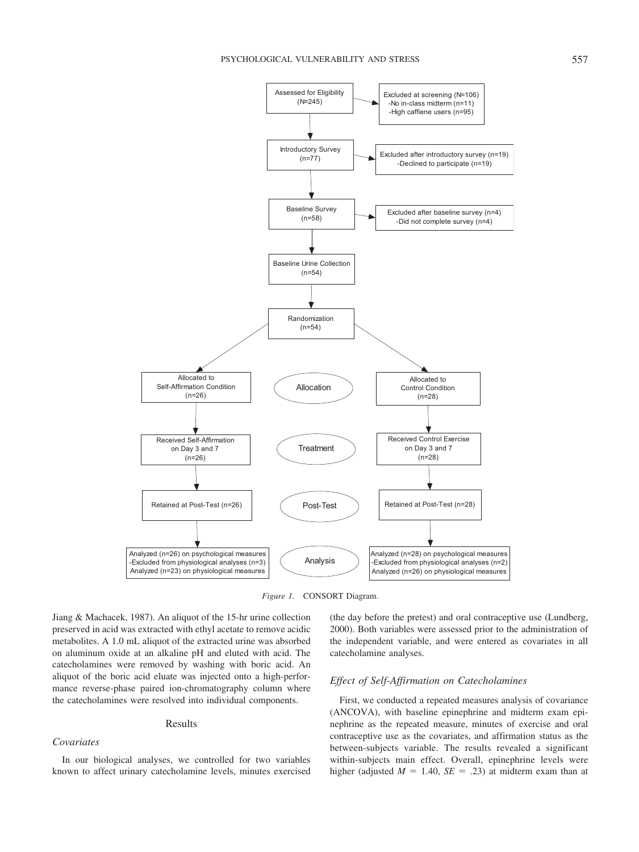

*Figure 1.* CONSORT Diagram.

Jiang & Machacek, 1987). An aliquot of the 15-hr urine collection preserved in acid was extracted with ethyl acetate to remove acidic metabolites. A 1.0 mL aliquot of the extracted urine was absorbed on aluminum oxide at an alkaline pH and eluted with acid. The catecholamines were removed by washing with boric acid. An aliquot of the boric acid eluate was injected onto a high-performance reverse-phase paired ion-chromatography column where the catecholamines were resolved into individual components.

#### Results

## *Covariates*

In our biological analyses, we controlled for two variables known to affect urinary catecholamine levels, minutes exercised (the day before the pretest) and oral contraceptive use (Lundberg, 2000). Both variables were assessed prior to the administration of the independent variable, and were entered as covariates in all catecholamine analyses.

## *Effect of Self-Affirmation on Catecholamines*

First, we conducted a repeated measures analysis of covariance (ANCOVA), with baseline epinephrine and midterm exam epinephrine as the repeated measure, minutes of exercise and oral contraceptive use as the covariates, and affirmation status as the between-subjects variable. The results revealed a significant within-subjects main effect. Overall, epinephrine levels were higher (adjusted  $M = 1.40$ ,  $SE = .23$ ) at midterm exam than at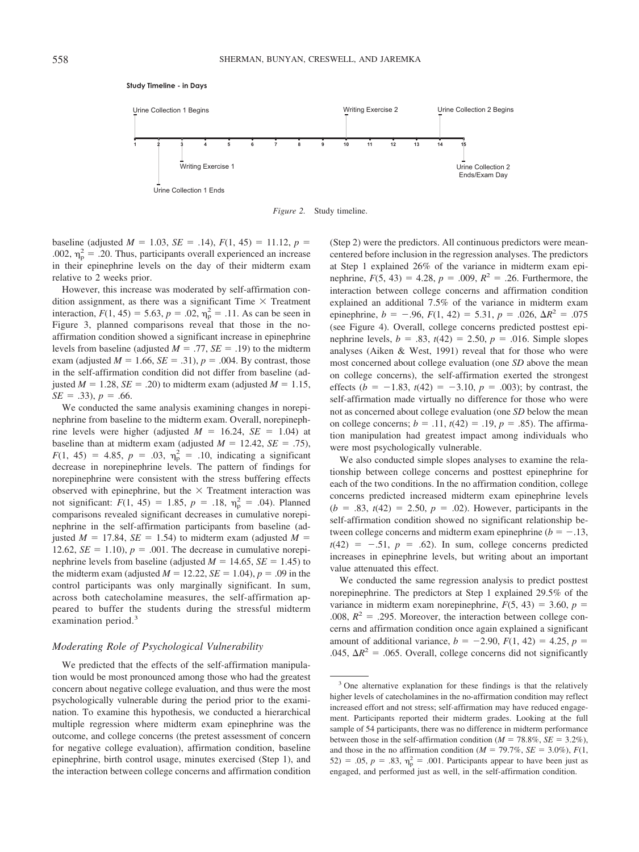**Study Timeline - in Days**



*Figure 2.* Study timeline.

baseline (adjusted  $M = 1.03$ ,  $SE = .14$ ),  $F(1, 45) = 11.12$ ,  $p =$ .002,  $\eta_p^2 = .20$ . Thus, participants overall experienced an increase in their epinephrine levels on the day of their midterm exam relative to 2 weeks prior.

However, this increase was moderated by self-affirmation condition assignment, as there was a significant Time  $\times$  Treatment interaction,  $F(1, 45) = 5.63$ ,  $p = .02$ ,  $\eta_p^2 = .11$ . As can be seen in Figure 3, planned comparisons reveal that those in the noaffirmation condition showed a significant increase in epinephrine levels from baseline (adjusted  $M = .77$ ,  $SE = .19$ ) to the midterm exam (adjusted  $M = 1.66$ ,  $SE = .31$ ),  $p = .004$ . By contrast, those in the self-affirmation condition did not differ from baseline (adjusted  $M = 1.28$ ,  $SE = .20$ ) to midterm exam (adjusted  $M = 1.15$ ,  $SE = .33$ ,  $p = .66$ .

We conducted the same analysis examining changes in norepinephrine from baseline to the midterm exam. Overall, norepinephrine levels were higher (adjusted  $M = 16.24$ ,  $SE = 1.04$ ) at baseline than at midterm exam (adjusted  $M = 12.42$ ,  $SE = .75$ ),  $F(1, 45) = 4.85, p = .03, \eta_p^2 = .10, \text{ indicating a significant}$ decrease in norepinephrine levels. The pattern of findings for norepinephrine were consistent with the stress buffering effects observed with epinephrine, but the  $\times$  Treatment interaction was not significant:  $F(1, 45) = 1.85$ ,  $p = .18$ ,  $\eta_p^2 = .04$ ). Planned comparisons revealed significant decreases in cumulative norepinephrine in the self-affirmation participants from baseline (adjusted  $M = 17.84$ ,  $SE = 1.54$ ) to midterm exam (adjusted  $M =$ 12.62,  $SE = 1.10$ ,  $p = .001$ . The decrease in cumulative norepinephrine levels from baseline (adjusted  $M = 14.65$ ,  $SE = 1.45$ ) to the midterm exam (adjusted  $M = 12.22$ ,  $SE = 1.04$ ),  $p = .09$  in the control participants was only marginally significant. In sum, across both catecholamine measures, the self-affirmation appeared to buffer the students during the stressful midterm examination period.<sup>3</sup>

### *Moderating Role of Psychological Vulnerability*

We predicted that the effects of the self-affirmation manipulation would be most pronounced among those who had the greatest concern about negative college evaluation, and thus were the most psychologically vulnerable during the period prior to the examination. To examine this hypothesis, we conducted a hierarchical multiple regression where midterm exam epinephrine was the outcome, and college concerns (the pretest assessment of concern for negative college evaluation), affirmation condition, baseline epinephrine, birth control usage, minutes exercised (Step 1), and the interaction between college concerns and affirmation condition (Step 2) were the predictors. All continuous predictors were meancentered before inclusion in the regression analyses. The predictors at Step 1 explained 26% of the variance in midterm exam epinephrine,  $F(5, 43) = 4.28$ ,  $p = .009$ ,  $R^2 = .26$ . Furthermore, the interaction between college concerns and affirmation condition explained an additional 7.5% of the variance in midterm exam epinephrine,  $b = -.96$ ,  $F(1, 42) = 5.31$ ,  $p = .026$ ,  $\Delta R^2 = .075$ (see Figure 4). Overall, college concerns predicted posttest epinephrine levels,  $b = .83$ ,  $t(42) = 2.50$ ,  $p = .016$ . Simple slopes analyses (Aiken & West, 1991) reveal that for those who were most concerned about college evaluation (one *SD* above the mean on college concerns), the self-affirmation exerted the strongest effects ( $b = -1.83$ ,  $t(42) = -3.10$ ,  $p = .003$ ); by contrast, the self-affirmation made virtually no difference for those who were not as concerned about college evaluation (one *SD* below the mean on college concerns;  $b = .11$ ,  $t(42) = .19$ ,  $p = .85$ ). The affirmation manipulation had greatest impact among individuals who were most psychologically vulnerable.

We also conducted simple slopes analyses to examine the relationship between college concerns and posttest epinephrine for each of the two conditions. In the no affirmation condition, college concerns predicted increased midterm exam epinephrine levels  $(b = .83, t(42) = 2.50, p = .02)$ . However, participants in the self-affirmation condition showed no significant relationship between college concerns and midterm exam epinephrine  $(b = -.13,$  $t(42) = -.51$ ,  $p = .62$ ). In sum, college concerns predicted increases in epinephrine levels, but writing about an important value attenuated this effect.

We conducted the same regression analysis to predict posttest norepinephrine. The predictors at Step 1 explained 29.5% of the variance in midterm exam norepinephrine,  $F(5, 43) = 3.60$ ,  $p =$ .008,  $R^2 = .295$ . Moreover, the interaction between college concerns and affirmation condition once again explained a significant amount of additional variance,  $b = -2.90, F(1, 42) = 4.25, p =$ .045,  $\Delta R^2$  = .065. Overall, college concerns did not significantly

<sup>&</sup>lt;sup>3</sup> One alternative explanation for these findings is that the relatively higher levels of catecholamines in the no-affirmation condition may reflect increased effort and not stress; self-affirmation may have reduced engagement. Participants reported their midterm grades. Looking at the full sample of 54 participants, there was no difference in midterm performance between those in the self-affirmation condition ( $M = 78.8\%$ ,  $SE = 3.2\%$ ), and those in the no affirmation condition ( $M = 79.7\%$ ,  $SE = 3.0\%$ ),  $F(1, 1)$ 52) = .05,  $p = .83$ ,  $\eta_p^2 = .001$ . Participants appear to have been just as engaged, and performed just as well, in the self-affirmation condition.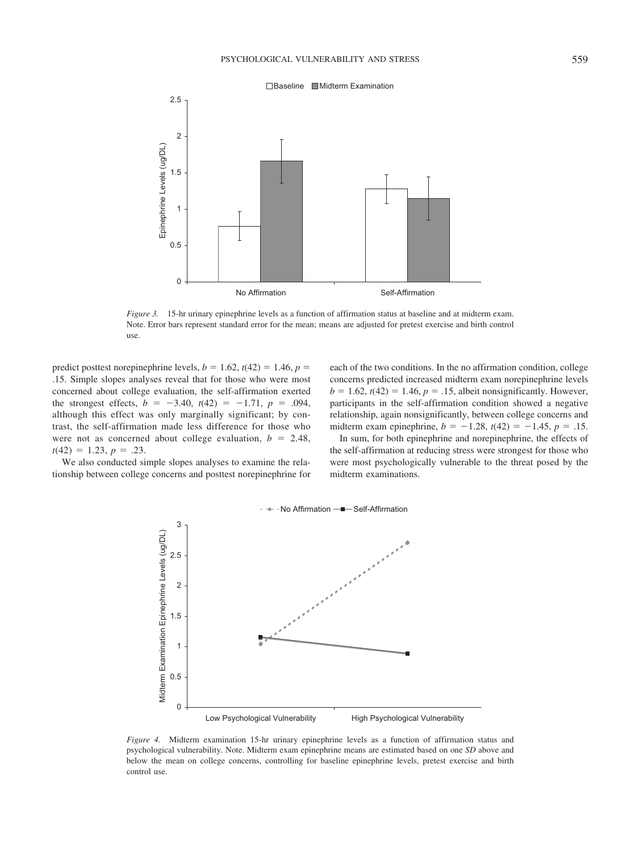

*Figure 3.* 15-hr urinary epinephrine levels as a function of affirmation status at baseline and at midterm exam. Note. Error bars represent standard error for the mean; means are adjusted for pretest exercise and birth control use.

predict posttest norepinephrine levels,  $b = 1.62$ ,  $t(42) = 1.46$ ,  $p =$ .15. Simple slopes analyses reveal that for those who were most concerned about college evaluation, the self-affirmation exerted the strongest effects,  $b = -3.40$ ,  $t(42) = -1.71$ ,  $p = .094$ , although this effect was only marginally significant; by contrast, the self-affirmation made less difference for those who were not as concerned about college evaluation,  $b = 2.48$ ,  $t(42) = 1.23, p = .23.$ 

We also conducted simple slopes analyses to examine the relationship between college concerns and posttest norepinephrine for each of the two conditions. In the no affirmation condition, college concerns predicted increased midterm exam norepinephrine levels  $b = 1.62$ ,  $t(42) = 1.46$ ,  $p = .15$ , albeit nonsignificantly. However, participants in the self-affirmation condition showed a negative relationship, again nonsignificantly, between college concerns and midterm exam epinephrine,  $b = -1.28$ ,  $t(42) = -1.45$ ,  $p = .15$ .

In sum, for both epinephrine and norepinephrine, the effects of the self-affirmation at reducing stress were strongest for those who were most psychologically vulnerable to the threat posed by the midterm examinations.



*Figure 4.* Midterm examination 15-hr urinary epinephrine levels as a function of affirmation status and psychological vulnerability. Note. Midterm exam epinephrine means are estimated based on one *SD* above and below the mean on college concerns, controlling for baseline epinephrine levels, pretest exercise and birth control use.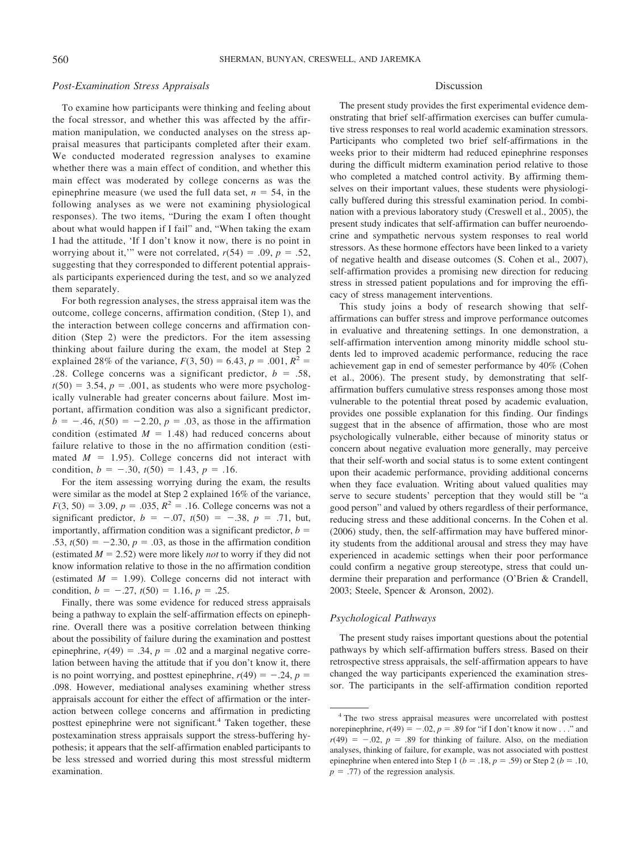#### *Post-Examination Stress Appraisals*

To examine how participants were thinking and feeling about the focal stressor, and whether this was affected by the affirmation manipulation, we conducted analyses on the stress appraisal measures that participants completed after their exam. We conducted moderated regression analyses to examine whether there was a main effect of condition, and whether this main effect was moderated by college concerns as was the epinephrine measure (we used the full data set,  $n = 54$ , in the following analyses as we were not examining physiological responses). The two items, "During the exam I often thought about what would happen if I fail" and, "When taking the exam I had the attitude, 'If I don't know it now, there is no point in worrying about it," were not correlated,  $r(54) = .09$ ,  $p = .52$ , suggesting that they corresponded to different potential appraisals participants experienced during the test, and so we analyzed them separately.

For both regression analyses, the stress appraisal item was the outcome, college concerns, affirmation condition, (Step 1), and the interaction between college concerns and affirmation condition (Step 2) were the predictors. For the item assessing thinking about failure during the exam, the model at Step 2 explained 28% of the variance,  $F(3, 50) = 6.43$ ,  $p = .001$ ,  $R^2 =$ .28. College concerns was a significant predictor,  $b = .58$ ,  $t(50) = 3.54$ ,  $p = .001$ , as students who were more psychologically vulnerable had greater concerns about failure. Most important, affirmation condition was also a significant predictor,  $b = -.46$ ,  $t(50) = -2.20$ ,  $p = .03$ , as those in the affirmation condition (estimated  $M = 1.48$ ) had reduced concerns about failure relative to those in the no affirmation condition (estimated  $M = 1.95$ ). College concerns did not interact with condition,  $b = -.30$ ,  $t(50) = 1.43$ ,  $p = .16$ .

For the item assessing worrying during the exam, the results were similar as the model at Step 2 explained 16% of the variance,  $F(3, 50) = 3.09, p = .035, R<sup>2</sup> = .16$ . College concerns was not a significant predictor,  $b = -.07$ ,  $t(50) = -.38$ ,  $p = .71$ , but, importantly, affirmation condition was a significant predictor,  $b =$ .53,  $t(50) = -2.30$ ,  $p = .03$ , as those in the affirmation condition (estimated  $M = 2.52$ ) were more likely *not* to worry if they did not know information relative to those in the no affirmation condition (estimated  $M = 1.99$ ). College concerns did not interact with condition,  $b = -.27$ ,  $t(50) = 1.16$ ,  $p = .25$ .

Finally, there was some evidence for reduced stress appraisals being a pathway to explain the self-affirmation effects on epinephrine. Overall there was a positive correlation between thinking about the possibility of failure during the examination and posttest epinephrine,  $r(49) = .34$ ,  $p = .02$  and a marginal negative correlation between having the attitude that if you don't know it, there is no point worrying, and posttest epinephrine,  $r(49) = -.24$ ,  $p =$ .098. However, mediational analyses examining whether stress appraisals account for either the effect of affirmation or the interaction between college concerns and affirmation in predicting posttest epinephrine were not significant.<sup>4</sup> Taken together, these postexamination stress appraisals support the stress-buffering hypothesis; it appears that the self-affirmation enabled participants to be less stressed and worried during this most stressful midterm examination.

### Discussion

The present study provides the first experimental evidence demonstrating that brief self-affirmation exercises can buffer cumulative stress responses to real world academic examination stressors. Participants who completed two brief self-affirmations in the weeks prior to their midterm had reduced epinephrine responses during the difficult midterm examination period relative to those who completed a matched control activity. By affirming themselves on their important values, these students were physiologically buffered during this stressful examination period. In combination with a previous laboratory study (Creswell et al., 2005), the present study indicates that self-affirmation can buffer neuroendocrine and sympathetic nervous system responses to real world stressors. As these hormone effectors have been linked to a variety of negative health and disease outcomes (S. Cohen et al., 2007), self-affirmation provides a promising new direction for reducing stress in stressed patient populations and for improving the efficacy of stress management interventions.

This study joins a body of research showing that selfaffirmations can buffer stress and improve performance outcomes in evaluative and threatening settings. In one demonstration, a self-affirmation intervention among minority middle school students led to improved academic performance, reducing the race achievement gap in end of semester performance by 40% (Cohen et al., 2006). The present study, by demonstrating that selfaffirmation buffers cumulative stress responses among those most vulnerable to the potential threat posed by academic evaluation, provides one possible explanation for this finding. Our findings suggest that in the absence of affirmation, those who are most psychologically vulnerable, either because of minority status or concern about negative evaluation more generally, may perceive that their self-worth and social status is to some extent contingent upon their academic performance, providing additional concerns when they face evaluation. Writing about valued qualities may serve to secure students' perception that they would still be "a good person" and valued by others regardless of their performance, reducing stress and these additional concerns. In the Cohen et al. (2006) study, then, the self-affirmation may have buffered minority students from the additional arousal and stress they may have experienced in academic settings when their poor performance could confirm a negative group stereotype, stress that could undermine their preparation and performance (O'Brien & Crandell, 2003; Steele, Spencer & Aronson, 2002).

#### *Psychological Pathways*

The present study raises important questions about the potential pathways by which self-affirmation buffers stress. Based on their retrospective stress appraisals, the self-affirmation appears to have changed the way participants experienced the examination stressor. The participants in the self-affirmation condition reported

<sup>4</sup> The two stress appraisal measures were uncorrelated with posttest norepinephrine,  $r(49) = -.02$ ,  $p = .89$  for "if I don't know it now . . ." and  $r(49) = -.02$ ,  $p = .89$  for thinking of failure. Also, on the mediation analyses, thinking of failure, for example, was not associated with posttest epinephrine when entered into Step 1 ( $b = .18$ ,  $p = .59$ ) or Step 2 ( $b = .10$ ,  $p = .77$ ) of the regression analysis.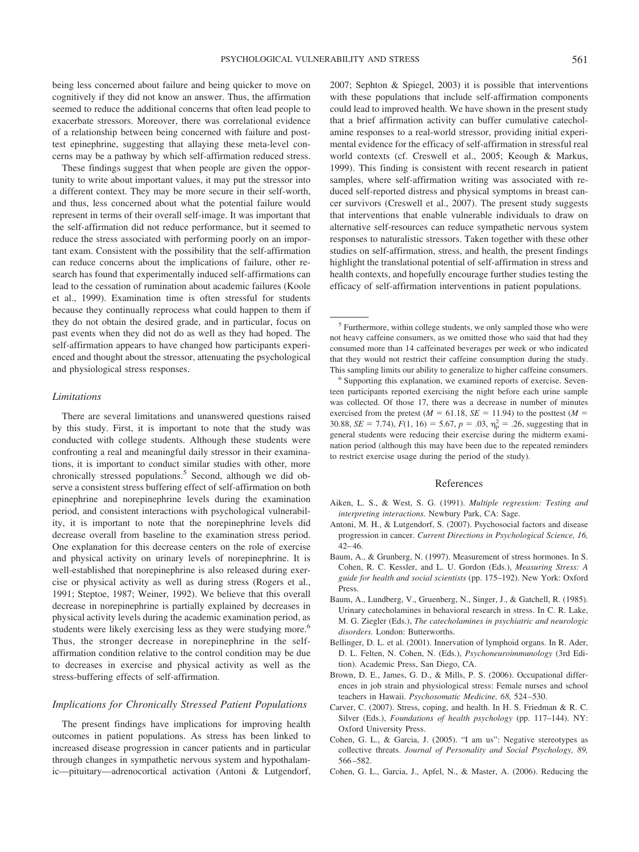being less concerned about failure and being quicker to move on cognitively if they did not know an answer. Thus, the affirmation seemed to reduce the additional concerns that often lead people to exacerbate stressors. Moreover, there was correlational evidence of a relationship between being concerned with failure and posttest epinephrine, suggesting that allaying these meta-level concerns may be a pathway by which self-affirmation reduced stress.

These findings suggest that when people are given the opportunity to write about important values, it may put the stressor into a different context. They may be more secure in their self-worth, and thus, less concerned about what the potential failure would represent in terms of their overall self-image. It was important that the self-affirmation did not reduce performance, but it seemed to reduce the stress associated with performing poorly on an important exam. Consistent with the possibility that the self-affirmation can reduce concerns about the implications of failure, other research has found that experimentally induced self-affirmations can lead to the cessation of rumination about academic failures (Koole et al., 1999). Examination time is often stressful for students because they continually reprocess what could happen to them if they do not obtain the desired grade, and in particular, focus on past events when they did not do as well as they had hoped. The self-affirmation appears to have changed how participants experienced and thought about the stressor, attenuating the psychological and physiological stress responses.

#### *Limitations*

There are several limitations and unanswered questions raised by this study. First, it is important to note that the study was conducted with college students. Although these students were confronting a real and meaningful daily stressor in their examinations, it is important to conduct similar studies with other, more chronically stressed populations.<sup>5</sup> Second, although we did observe a consistent stress buffering effect of self-affirmation on both epinephrine and norepinephrine levels during the examination period, and consistent interactions with psychological vulnerability, it is important to note that the norepinephrine levels did decrease overall from baseline to the examination stress period. One explanation for this decrease centers on the role of exercise and physical activity on urinary levels of norepinephrine. It is well-established that norepinephrine is also released during exercise or physical activity as well as during stress (Rogers et al., 1991; Steptoe, 1987; Weiner, 1992). We believe that this overall decrease in norepinephrine is partially explained by decreases in physical activity levels during the academic examination period, as students were likely exercising less as they were studying more.<sup>6</sup> Thus, the stronger decrease in norepinephrine in the selfaffirmation condition relative to the control condition may be due to decreases in exercise and physical activity as well as the stress-buffering effects of self-affirmation.

## *Implications for Chronically Stressed Patient Populations*

The present findings have implications for improving health outcomes in patient populations. As stress has been linked to increased disease progression in cancer patients and in particular through changes in sympathetic nervous system and hypothalamic—pituitary—adrenocortical activation (Antoni & Lutgendorf,

2007; Sephton & Spiegel, 2003) it is possible that interventions with these populations that include self-affirmation components could lead to improved health. We have shown in the present study that a brief affirmation activity can buffer cumulative catecholamine responses to a real-world stressor, providing initial experimental evidence for the efficacy of self-affirmation in stressful real world contexts (cf. Creswell et al., 2005; Keough & Markus, 1999). This finding is consistent with recent research in patient samples, where self-affirmation writing was associated with reduced self-reported distress and physical symptoms in breast cancer survivors (Creswell et al., 2007). The present study suggests that interventions that enable vulnerable individuals to draw on alternative self-resources can reduce sympathetic nervous system responses to naturalistic stressors. Taken together with these other studies on self-affirmation, stress, and health, the present findings highlight the translational potential of self-affirmation in stress and health contexts, and hopefully encourage further studies testing the efficacy of self-affirmation interventions in patient populations.

<sup>5</sup> Furthermore, within college students, we only sampled those who were not heavy caffeine consumers, as we omitted those who said that had they consumed more than 14 caffeinated beverages per week or who indicated that they would not restrict their caffeine consumption during the study. This sampling limits our ability to generalize to higher caffeine consumers.

<sup>6</sup> Supporting this explanation, we examined reports of exercise. Seventeen participants reported exercising the night before each urine sample was collected. Of those 17, there was a decrease in number of minutes exercised from the pretest ( $M = 61.18$ ,  $SE = 11.94$ ) to the posttest ( $M =$ 30.88, *SE* = 7.74),  $F(1, 16) = 5.67$ ,  $p = .03$ ,  $\eta_p^2 = .26$ , suggesting that in general students were reducing their exercise during the midterm examination period (although this may have been due to the repeated reminders to restrict exercise usage during the period of the study).

#### References

- Aiken, L. S., & West, S. G. (1991). *Multiple regression: Testing and interpreting interactions.* Newbury Park, CA: Sage.
- Antoni, M. H., & Lutgendorf, S. (2007). Psychosocial factors and disease progression in cancer. *Current Directions in Psychological Science, 16,*  $42 - 46.$
- Baum, A., & Grunberg, N. (1997). Measurement of stress hormones. In S. Cohen, R. C. Kessler, and L. U. Gordon (Eds.), *Measuring Stress: A guide for health and social scientists* (pp. 175–192). New York: Oxford Press.
- Baum, A., Lundberg, V., Gruenberg, N., Singer, J., & Gatchell, R. (1985). Urinary catecholamines in behavioral research in stress. In C. R. Lake, M. G. Ziegler (Eds.), *The catecholamines in psychiatric and neurologic disorders.* London: Butterworths.
- Bellinger, D. L. et al. (2001). Innervation of lymphoid organs. In R. Ader, D. L. Felten, N. Cohen, N. (Eds.), *Psychoneuroimmunology* (3rd Edition). Academic Press, San Diego, CA.
- Brown, D. E., James, G. D., & Mills, P. S. (2006). Occupational differences in job strain and physiological stress: Female nurses and school teachers in Hawaii. *Psychosomatic Medicine, 68,* 524 –530.
- Carver, C. (2007). Stress, coping, and health. In H. S. Friedman & R. C. Silver (Eds.), *Foundations of health psychology* (pp. 117–144). NY: Oxford University Press.
- Cohen, G. L., & Garcia, J. (2005). "I am us": Negative stereotypes as collective threats. *Journal of Personality and Social Psychology, 89,* 566 –582.
- Cohen, G. L., Garcia, J., Apfel, N., & Master, A. (2006). Reducing the